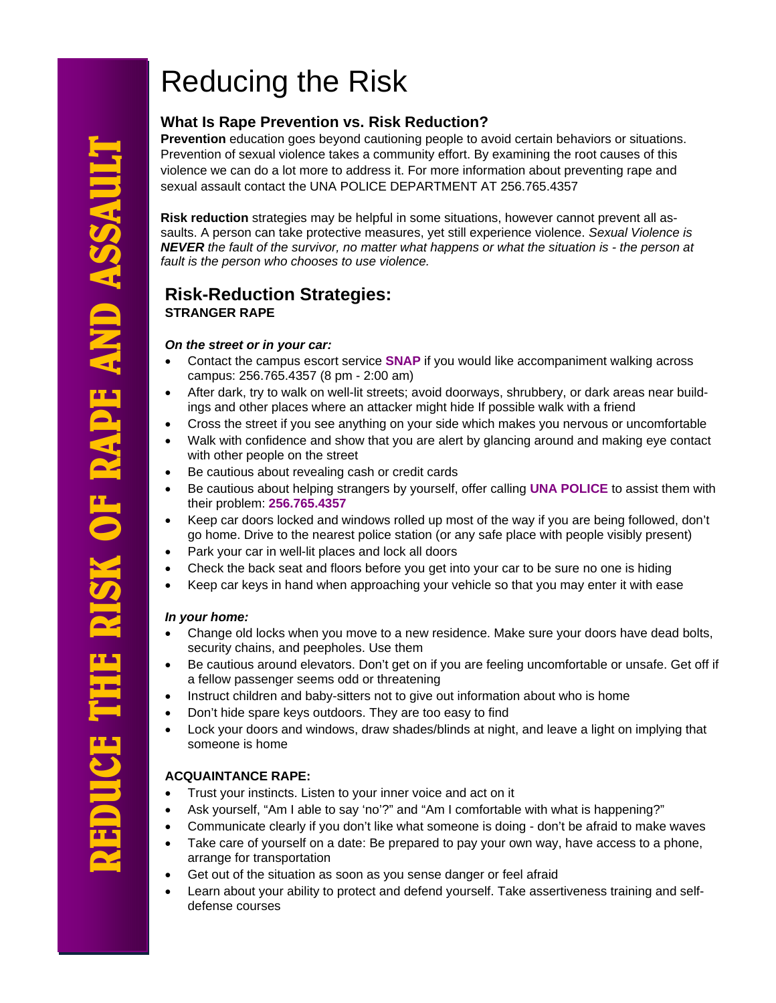# Reducing the Risk

# **What Is Rape Prevention vs. Risk Reduction?**

**Prevention** education goes beyond cautioning people to avoid certain behaviors or situations. Prevention of sexual violence takes a community effort. By examining the root causes of this violence we can do a lot more to address it. For more information about preventing rape and sexual assault contact the UNA POLICE DEPARTMENT AT 256.765.4357

**Risk reduction** strategies may be helpful in some situations, however cannot prevent all assaults. A person can take protective measures, yet still experience violence. *Sexual Violence is NEVER the fault of the survivor, no matter what happens or what the situation is - the person at fault is the person who chooses to use violence.*

# **Risk-Reduction Strategies: STRANGER RAPE**

#### *On the street or in your car:*

- Contact the campus escort service **SNAP** if you would like accompaniment walking across campus: 256.765.4357 (8 pm - 2:00 am)
- After dark, try to walk on well-lit streets; avoid doorways, shrubbery, or dark areas near buildings and other places where an attacker might hide If possible walk with a friend
- Cross the street if you see anything on your side which makes you nervous or uncomfortable
- Walk with confidence and show that you are alert by glancing around and making eye contact with other people on the street
- Be cautious about revealing cash or credit cards
- Be cautious about helping strangers by yourself, offer calling **UNA POLICE** to assist them with their problem: **256.765.4357**
- Keep car doors locked and windows rolled up most of the way if you are being followed, don't go home. Drive to the nearest police station (or any safe place with people visibly present)
- Park your car in well-lit places and lock all doors
- Check the back seat and floors before you get into your car to be sure no one is hiding
- Keep car keys in hand when approaching your vehicle so that you may enter it with ease

#### *In your home:*

- Change old locks when you move to a new residence. Make sure your doors have dead bolts, security chains, and peepholes. Use them
- Be cautious around elevators. Don't get on if you are feeling uncomfortable or unsafe. Get off if a fellow passenger seems odd or threatening
- Instruct children and baby-sitters not to give out information about who is home
- Don't hide spare keys outdoors. They are too easy to find
- Lock your doors and windows, draw shades/blinds at night, and leave a light on implying that someone is home

### **ACQUAINTANCE RAPE:**

- Trust your instincts. Listen to your inner voice and act on it
- Ask yourself, "Am I able to say 'no'?" and "Am I comfortable with what is happening?"
- Communicate clearly if you don't like what someone is doing don't be afraid to make waves
- Take care of yourself on a date: Be prepared to pay your own way, have access to a phone, arrange for transportation
- Get out of the situation as soon as you sense danger or feel afraid
- Learn about your ability to protect and defend yourself. Take assertiveness training and selfdefense courses